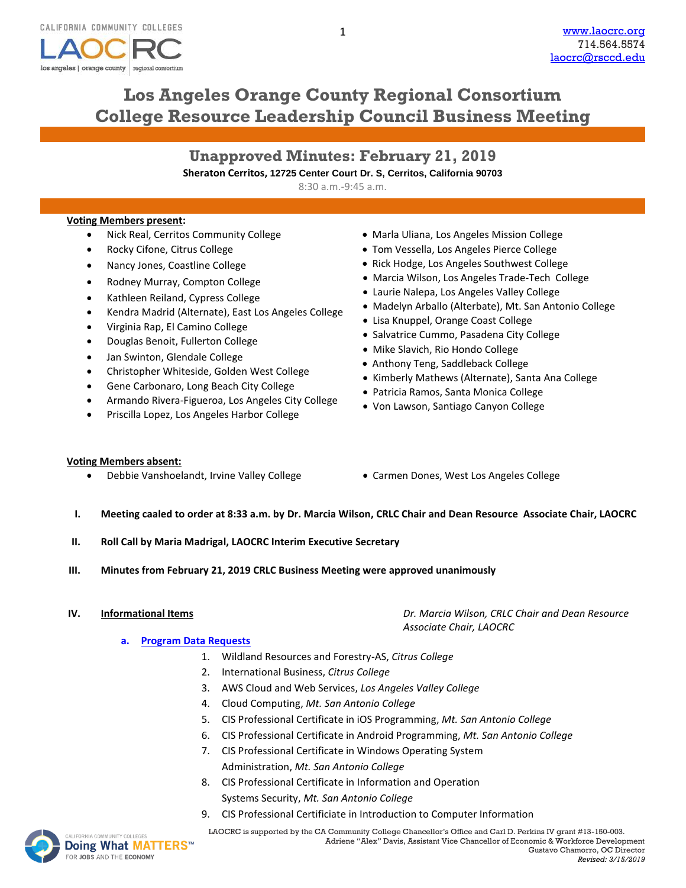

# **Los Angeles Orange County Regional Consortium College Resource Leadership Council Business Meeting**

1

| <b>Unapproved Minutes: February 21, 2019</b>                            |
|-------------------------------------------------------------------------|
| Sheraton Cerritos, 12725 Center Court Dr. S. Cerritos, California 90703 |
| $8:30$ a.m.-9:45 a.m.                                                   |

### **Voting Members present:**

- Nick Real, Cerritos Community College
- Rocky Cifone, Citrus College
- Nancy Jones, Coastline College
- Rodney Murray, Compton College
- Kathleen Reiland, Cypress College
- Kendra Madrid (Alternate), East Los Angeles College
- Virginia Rap, El Camino College
- Douglas Benoit, Fullerton College
- Jan Swinton, Glendale College
- Christopher Whiteside, Golden West College
- Gene Carbonaro, Long Beach City College
- Armando Rivera-Figueroa, Los Angeles City College
- Priscilla Lopez, Los Angeles Harbor College
- Marla Uliana, Los Angeles Mission College
- Tom Vessella, Los Angeles Pierce College
- Rick Hodge, Los Angeles Southwest College
- Marcia Wilson, Los Angeles Trade-Tech College
- Laurie Nalepa, Los Angeles Valley College
- Madelyn Arballo (Alterbate), Mt. San Antonio College
- Lisa Knuppel, Orange Coast College
- Salvatrice Cummo, Pasadena City College
- Mike Slavich, Rio Hondo College
- Anthony Teng, Saddleback College
- Kimberly Mathews (Alternate), Santa Ana College
- Patricia Ramos, Santa Monica College
- Von Lawson, Santiago Canyon College

### **Voting Members absent:**

- Debbie Vanshoelandt, Irvine Valley College Carmen Dones, West Los Angeles College
- 
- **I. Meeting caaled to order at 8:33 a.m. by Dr. Marcia Wilson, CRLC Chair and Dean Resource Associate Chair, LAOCRC**
- **II. Roll Call by Maria Madrigal, LAOCRC Interim Executive Secretary**
- **III. Minutes from February 21, 2019 CRLC Business Meeting were approved unanimously**

**IV. Informational Items** *Dr. Marcia Wilson, CRLC Chair and Dean Resource Associate Chair, LAOCRC*

### **a. [Program Data Requests](http://www.laocrc.org/educators/program-approval/program-intents)**

- 1. Wildland Resources and Forestry-AS, *Citrus College*
- 2. International Business, *Citrus College*
- 3. AWS Cloud and Web Services, *Los Angeles Valley College*
- 4. Cloud Computing, *Mt. San Antonio College*
- 5. CIS Professional Certificate in iOS Programming, *Mt. San Antonio College*
- 6. CIS Professional Certificate in Android Programming, *Mt. San Antonio College*
- 7. CIS Professional Certificate in Windows Operating System Administration, *Mt. San Antonio College*
- 8. CIS Professional Certificate in Information and Operation Systems Security, *Mt. San Antonio College*
- 9. CIS Professional Certificiate in Introduction to Computer Information



MACOMMUNITY COLLEGES **LAOCRC** is supported by the CA Community College Chancellor's Office and Carl D. Perkins IV grant #13-150-003. Adriene "Alex" Davis, Assistant Vice Chancellor of Economic & Workforce Development Gustavo Chamorro, OC Director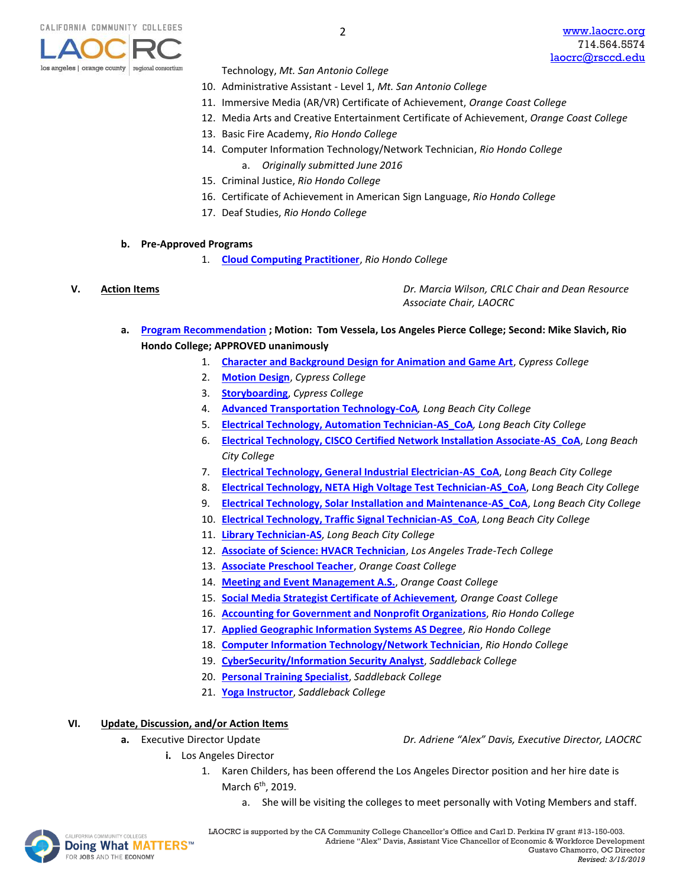

- Technology, *Mt. San Antonio College*
- 10. Administrative Assistant Level 1, *Mt. San Antonio College*
- 11. Immersive Media (AR/VR) Certificate of Achievement, *Orange Coast College*
- 12. Media Arts and Creative Entertainment Certificate of Achievement, *Orange Coast College*
- 13. Basic Fire Academy, *Rio Hondo College*
- 14. Computer Information Technology/Network Technician, *Rio Hondo College*
	- a. *Originally submitted June 2016*
- 15. Criminal Justice, *Rio Hondo College*
- 16. Certificate of Achievement in American Sign Language, *Rio Hondo College*
- 17. Deaf Studies, *Rio Hondo College*

### **b. Pre-Approved Programs**

1. **[Cloud Computing Practitioner](https://www.regionalcte.org/browse/4BB74)**, *Rio Hondo College*

**V. Action Items** *Dr. Marcia Wilson, CRLC Chair and Dean Resource Associate Chair, LAOCRC*

- **a. [Program Recommendation](https://www.regionalcte.org/browse?region=4&status=4&search=&submit=) ; Motion: Tom Vessela, Los Angeles Pierce College; Second: Mike Slavich, Rio Hondo College; APPROVED unanimously** 
	- 1. **[Character and Background Design for Animation and Game Art](https://www.regionalcte.org/browse/4nYDZ)**, *Cypress College*
	- 2. **[Motion Design](https://www.regionalcte.org/browse/4pOjZ)**, *Cypress College*
	- 3. **[Storyboarding](https://www.regionalcte.org/browse/3JR23)**, *Cypress College*
	- 4. **[Advanced Transportation Technology-CoA](https://www.regionalcte.org/browse/Zykz3)***, Long Beach City College*
	- 5. **[Electrical Technology, Automation Technician-AS\\_CoA](https://www.regionalcte.org/browse/3OzV4)***, Long Beach City College*
	- 6. **[Electrical Technology, CISCO Certified Network Installation Associate-AS\\_CoA](https://www.regionalcte.org/browse/38BnZ)**, *Long Beach City College*
	- 7. **[Electrical Technology, General Industrial Electrician-AS\\_CoA](https://www.regionalcte.org/browse/4PzjK)**, *Long Beach City College*
	- 8. **[Electrical Technology, NETA High Voltage Test Technician-AS\\_CoA](https://www.regionalcte.org/browse/KonD3)**, *Long Beach City College*
	- 9. **[Electrical Technology, Solar Installation and Maintenance-AS\\_CoA](https://www.regionalcte.org/browse/3Wjb4)**, *Long Beach City College*
	- 10. **[Electrical Technology, Traffic Signal Technician-AS\\_CoA](https://www.regionalcte.org/browse/4Ez13)**, *Long Beach City College*
	- 11. **[Library Technician-AS](https://www.regionalcte.org/browse/40OJZ)**, *Long Beach City College*
	- 12. **[Associate of Science: HVACR Technician](https://www.regionalcte.org/browse/4PP64)**, *Los Angeles Trade-Tech College*
	- 13. **[Associate Preschool Teacher](https://www.regionalcte.org/browse/Z9zP4)**, *Orange Coast College*
	- 14. **[Meeting and Event Management A.S.](https://www.regionalcte.org/browse/3XpV3)**, *Orange Coast College*
	- 15. **[Social Media Strategist Certificate of Achievement](https://www.regionalcte.org/browse/3GexZ)***, Orange Coast College*
	- 16. **[Accounting for Government and Nonprofit Organizations](https://www.regionalcte.org/browse/KABwZ)**, *Rio Hondo College*
	- 17. **[Applied Geographic Information Systems AS Degree](https://www.regionalcte.org/browse/ZY9dZ)**, *Rio Hondo College*
	- 18. **[Computer Information Technology/Network Technician](https://www.regionalcte.org/browse/4PPj4)**, *Rio Hondo College*
	- 19. **[CyberSecurity/Information Security Analyst](https://www.regionalcte.org/browse/KkzR3)**, *Saddleback College*
	- 20. **[Personal Training Specialist](https://www.regionalcte.org/browse/KlRE4)**, *Saddleback College*
	- 21. **[Yoga Instructor](https://www.regionalcte.org/browse/3W9bZ)**, *Saddleback College*

### **VI. Update, Discussion, and/or Action Items**

- 
- **a.** Executive Director Update *Dr. Adriene "Alex" Davis, Executive Director, LAOCRC*
	- **i.** Los Angeles Director
		- 1. Karen Childers, has been offerend the Los Angeles Director position and her hire date is March 6<sup>th</sup>, 2019.
			- a. She will be visiting the colleges to meet personally with Voting Members and staff.

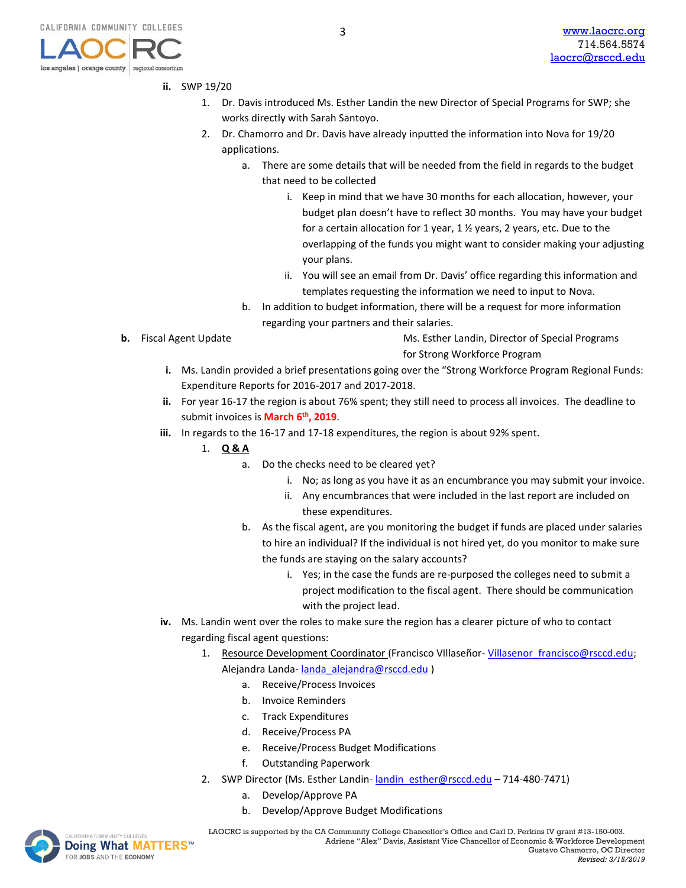los angeles | orange county

# **ii.** SWP 19/20

regional consortius

- 1. Dr. Davis introduced Ms. Esther Landin the new Director of Special Programs for SWP; she works directly with Sarah Santoyo.
- 2. Dr. Chamorro and Dr. Davis have already inputted the information into Nova for 19/20 applications.
	- a. There are some details that will be needed from the field in regards to the budget that need to be collected
		- i. Keep in mind that we have 30 months for each allocation, however, your budget plan doesn't have to reflect 30 months. You may have your budget for a certain allocation for 1 year, 1 ½ years, 2 years, etc. Due to the overlapping of the funds you might want to consider making your adjusting your plans.
		- ii. You will see an email from Dr. Davis' office regarding this information and templates requesting the information we need to input to Nova.
	- b. In addition to budget information, there will be a request for more information regarding your partners and their salaries.
- 

**b.** Fiscal Agent Update Ms. Esther Landin, Director of Special Programs for Strong Workforce Program

- **i.** Ms. Landin provided a brief presentations going over the "Strong Workforce Program Regional Funds: Expenditure Reports for 2016-2017 and 2017-2018.
- **ii.** For year 16-17 the region is about 76% spent; they still need to process all invoices. The deadline to submit invoices is **March 6th, 2019**.
- **iii.** In regards to the 16-17 and 17-18 expenditures, the region is about 92% spent.
	- 1. **Q & A**
		- a. Do the checks need to be cleared yet?
			- i. No; as long as you have it as an encumbrance you may submit your invoice.
			- ii. Any encumbrances that were included in the last report are included on these expenditures.
		- b. As the fiscal agent, are you monitoring the budget if funds are placed under salaries to hire an individual? If the individual is not hired yet, do you monitor to make sure the funds are staying on the salary accounts?
			- i. Yes; in the case the funds are re-purposed the colleges need to submit a project modification to the fiscal agent. There should be communication with the project lead.
- **iv.** Ms. Landin went over the roles to make sure the region has a clearer picture of who to contact regarding fiscal agent questions:
	- 1. Resource Development Coordinator (Francisco VIIIaseñor-Villasenor francisco@rsccd.edu; Alejandra Landa- [landa\\_alejandra@rsccd.edu](mailto:landa_alejandra@rsccd.edu) )
		- a. Receive/Process Invoices
		- b. Invoice Reminders
		- c. Track Expenditures
		- d. Receive/Process PA
		- e. Receive/Process Budget Modifications
		- f. Outstanding Paperwork
	- 2. SWP Director (Ms. Esther Landin- landin esther@rsccd.edu 714-480-7471)
		- a. Develop/Approve PA
		- b. Develop/Approve Budget Modifications



UNITYCOLLEGES **LAOCRC** is supported by the CA Community College Chancellor's Office and Carl D. Perkins IV grant #13-150-003. Adriene "Alex" Davis, Assistant Vice Chancellor of Economic & Workforce Development Gustavo Chamorro, OC Director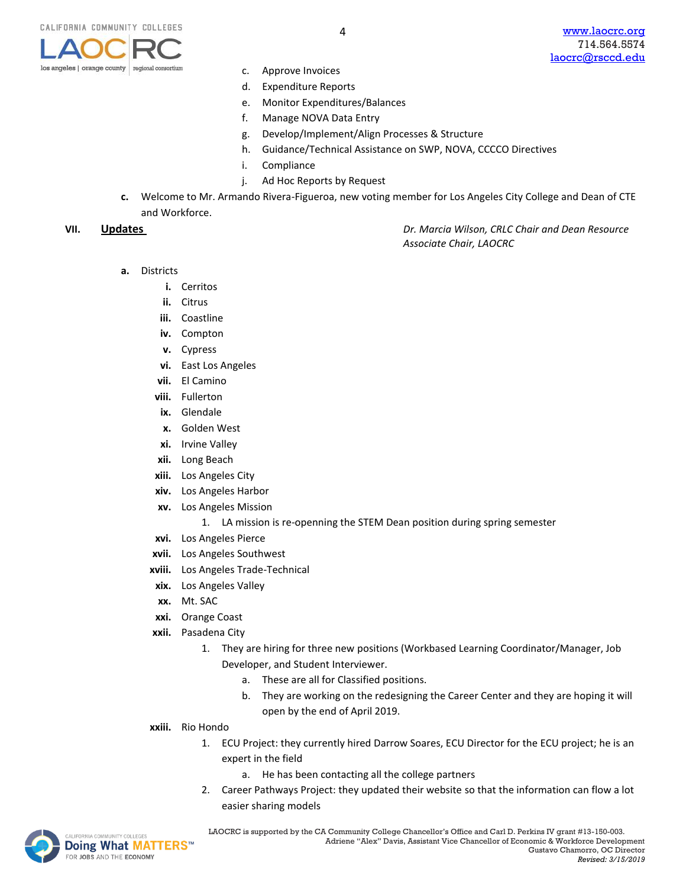

- c. Approve Invoices
- d. Expenditure Reports
- e. Monitor Expenditures/Balances
- f. Manage NOVA Data Entry
- g. Develop/Implement/Align Processes & Structure
- h. Guidance/Technical Assistance on SWP, NOVA, CCCCO Directives
- i. Compliance
- j. Ad Hoc Reports by Request
- **c.** Welcome to Mr. Armando Rivera-Figueroa, new voting member for Los Angeles City College and Dean of CTE and Workforce.

**VII. Updates** *Dr. Marcia Wilson, CRLC Chair and Dean Resource Associate Chair, LAOCRC*

- **a.** Districts
	- **i.** Cerritos
	- **ii.** Citrus
	- **iii.** Coastline
	- **iv.** Compton
	- **v.** Cypress
	- **vi.** East Los Angeles
	- **vii.** El Camino
	- **viii.** Fullerton
	- **ix.** Glendale
	- **x.** Golden West
	- **xi.** Irvine Valley
	- **xii.** Long Beach
	- **xiii.** Los Angeles City
	- **xiv.** Los Angeles Harbor
	- **xv.** Los Angeles Mission
		- 1. LA mission is re-openning the STEM Dean position during spring semester
	- **xvi.** Los Angeles Pierce
	- **xvii.** Los Angeles Southwest
	- **xviii.** Los Angeles Trade-Technical
	- **xix.** Los Angeles Valley
	- **xx.** Mt. SAC
	- **xxi.** Orange Coast
	- **xxii.** Pasadena City
		- 1. They are hiring for three new positions (Workbased Learning Coordinator/Manager, Job Developer, and Student Interviewer.
			- a. These are all for Classified positions.
			- b. They are working on the redesigning the Career Center and they are hoping it will open by the end of April 2019.
	- **xxiii.** Rio Hondo
		- 1. ECU Project: they currently hired Darrow Soares, ECU Director for the ECU project; he is an expert in the field
			- a. He has been contacting all the college partners
		- 2. Career Pathways Project: they updated their website so that the information can flow a lot easier sharing models